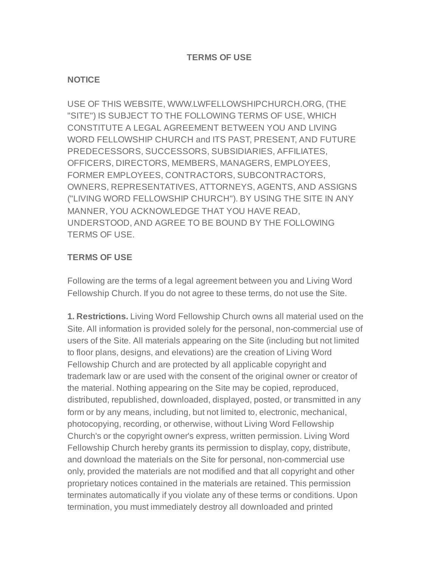## **TERMS OF USE**

## **NOTICE**

USE OF THIS WEBSITE, WWW.LWFELLOWSHIPCHURCH.ORG, (THE "SITE") IS SUBJECT TO THE FOLLOWING TERMS OF USE, WHICH CONSTITUTE A LEGAL AGREEMENT BETWEEN YOU AND LIVING WORD FELLOWSHIP CHURCH and ITS PAST, PRESENT, AND FUTURE PREDECESSORS, SUCCESSORS, SUBSIDIARIES, AFFILIATES, OFFICERS, DIRECTORS, MEMBERS, MANAGERS, EMPLOYEES, FORMER EMPLOYEES, CONTRACTORS, SUBCONTRACTORS, OWNERS, REPRESENTATIVES, ATTORNEYS, AGENTS, AND ASSIGNS ("LIVING WORD FELLOWSHIP CHURCH"). BY USING THE SITE IN ANY MANNER, YOU ACKNOWLEDGE THAT YOU HAVE READ, UNDERSTOOD, AND AGREE TO BE BOUND BY THE FOLLOWING TERMS OF USE.

## **TERMS OF USE**

Following are the terms of a legal agreement between you and Living Word Fellowship Church. If you do not agree to these terms, do not use the Site.

**1. Restrictions.** Living Word Fellowship Church owns all material used on the Site. All information is provided solely for the personal, non-commercial use of users of the Site. All materials appearing on the Site (including but not limited to floor plans, designs, and elevations) are the creation of Living Word Fellowship Church and are protected by all applicable copyright and trademark law or are used with the consent of the original owner or creator of the material. Nothing appearing on the Site may be copied, reproduced, distributed, republished, downloaded, displayed, posted, or transmitted in any form or by any means, including, but not limited to, electronic, mechanical, photocopying, recording, or otherwise, without Living Word Fellowship Church's or the copyright owner's express, written permission. Living Word Fellowship Church hereby grants its permission to display, copy, distribute, and download the materials on the Site for personal, non-commercial use only, provided the materials are not modified and that all copyright and other proprietary notices contained in the materials are retained. This permission terminates automatically if you violate any of these terms or conditions. Upon termination, you must immediately destroy all downloaded and printed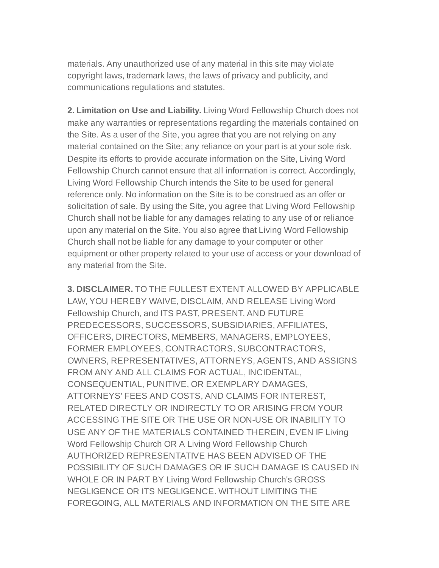materials. Any unauthorized use of any material in this site may violate copyright laws, trademark laws, the laws of privacy and publicity, and communications regulations and statutes.

**2. Limitation on Use and Liability.** Living Word Fellowship Church does not make any warranties or representations regarding the materials contained on the Site. As a user of the Site, you agree that you are not relying on any material contained on the Site; any reliance on your part is at your sole risk. Despite its efforts to provide accurate information on the Site, Living Word Fellowship Church cannot ensure that all information is correct. Accordingly, Living Word Fellowship Church intends the Site to be used for general reference only. No information on the Site is to be construed as an offer or solicitation of sale. By using the Site, you agree that Living Word Fellowship Church shall not be liable for any damages relating to any use of or reliance upon any material on the Site. You also agree that Living Word Fellowship Church shall not be liable for any damage to your computer or other equipment or other property related to your use of access or your download of any material from the Site.

**3. DISCLAIMER.** TO THE FULLEST EXTENT ALLOWED BY APPLICABLE LAW, YOU HEREBY WAIVE, DISCLAIM, AND RELEASE Living Word Fellowship Church, and ITS PAST, PRESENT, AND FUTURE PREDECESSORS, SUCCESSORS, SUBSIDIARIES, AFFILIATES, OFFICERS, DIRECTORS, MEMBERS, MANAGERS, EMPLOYEES, FORMER EMPLOYEES, CONTRACTORS, SUBCONTRACTORS, OWNERS, REPRESENTATIVES, ATTORNEYS, AGENTS, AND ASSIGNS FROM ANY AND ALL CLAIMS FOR ACTUAL, INCIDENTAL, CONSEQUENTIAL, PUNITIVE, OR EXEMPLARY DAMAGES, ATTORNEYS' FEES AND COSTS, AND CLAIMS FOR INTEREST, RELATED DIRECTLY OR INDIRECTLY TO OR ARISING FROM YOUR ACCESSING THE SITE OR THE USE OR NON-USE OR INABILITY TO USE ANY OF THE MATERIALS CONTAINED THEREIN, EVEN IF Living Word Fellowship Church OR A Living Word Fellowship Church AUTHORIZED REPRESENTATIVE HAS BEEN ADVISED OF THE POSSIBILITY OF SUCH DAMAGES OR IF SUCH DAMAGE IS CAUSED IN WHOLE OR IN PART BY Living Word Fellowship Church's GROSS NEGLIGENCE OR ITS NEGLIGENCE. WITHOUT LIMITING THE FOREGOING, ALL MATERIALS AND INFORMATION ON THE SITE ARE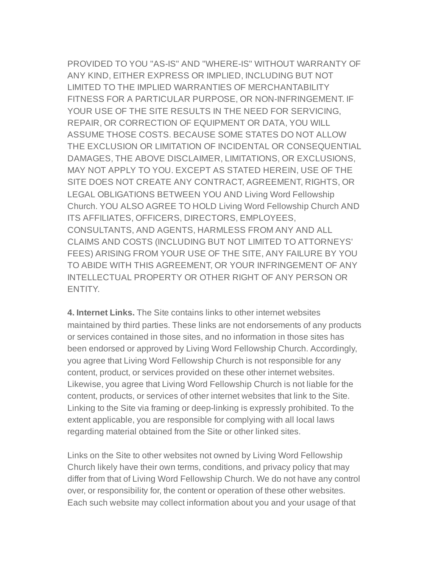PROVIDED TO YOU "AS-IS" AND "WHERE-IS" WITHOUT WARRANTY OF ANY KIND, EITHER EXPRESS OR IMPLIED, INCLUDING BUT NOT LIMITED TO THE IMPLIED WARRANTIES OF MERCHANTABILITY FITNESS FOR A PARTICULAR PURPOSE, OR NON-INFRINGEMENT. IF YOUR USE OF THE SITE RESULTS IN THE NEED FOR SERVICING, REPAIR, OR CORRECTION OF EQUIPMENT OR DATA, YOU WILL ASSUME THOSE COSTS. BECAUSE SOME STATES DO NOT ALLOW THE EXCLUSION OR LIMITATION OF INCIDENTAL OR CONSEQUENTIAL DAMAGES, THE ABOVE DISCLAIMER, LIMITATIONS, OR EXCLUSIONS, MAY NOT APPLY TO YOU. EXCEPT AS STATED HEREIN, USE OF THE SITE DOES NOT CREATE ANY CONTRACT, AGREEMENT, RIGHTS, OR LEGAL OBLIGATIONS BETWEEN YOU AND Living Word Fellowship Church. YOU ALSO AGREE TO HOLD Living Word Fellowship Church AND ITS AFFILIATES, OFFICERS, DIRECTORS, EMPLOYEES, CONSULTANTS, AND AGENTS, HARMLESS FROM ANY AND ALL CLAIMS AND COSTS (INCLUDING BUT NOT LIMITED TO ATTORNEYS' FEES) ARISING FROM YOUR USE OF THE SITE, ANY FAILURE BY YOU TO ABIDE WITH THIS AGREEMENT, OR YOUR INFRINGEMENT OF ANY INTELLECTUAL PROPERTY OR OTHER RIGHT OF ANY PERSON OR ENTITY.

**4. Internet Links.** The Site contains links to other internet websites maintained by third parties. These links are not endorsements of any products or services contained in those sites, and no information in those sites has been endorsed or approved by Living Word Fellowship Church. Accordingly, you agree that Living Word Fellowship Church is not responsible for any content, product, or services provided on these other internet websites. Likewise, you agree that Living Word Fellowship Church is not liable for the content, products, or services of other internet websites that link to the Site. Linking to the Site via framing or deep-linking is expressly prohibited. To the extent applicable, you are responsible for complying with all local laws regarding material obtained from the Site or other linked sites.

Links on the Site to other websites not owned by Living Word Fellowship Church likely have their own terms, conditions, and privacy policy that may differ from that of Living Word Fellowship Church. We do not have any control over, or responsibility for, the content or operation of these other websites. Each such website may collect information about you and your usage of that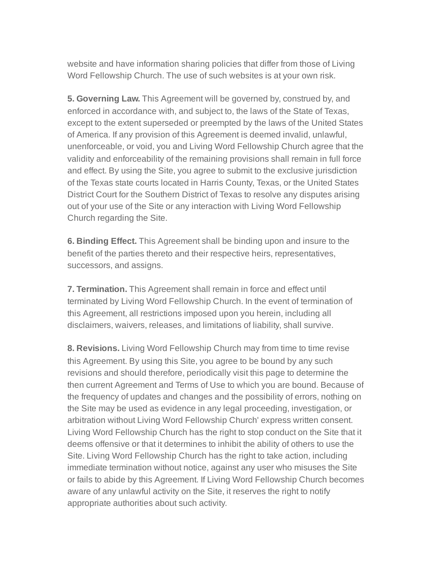website and have information sharing policies that differ from those of Living Word Fellowship Church. The use of such websites is at your own risk.

**5. Governing Law.** This Agreement will be governed by, construed by, and enforced in accordance with, and subject to, the laws of the State of Texas, except to the extent superseded or preempted by the laws of the United States of America. If any provision of this Agreement is deemed invalid, unlawful, unenforceable, or void, you and Living Word Fellowship Church agree that the validity and enforceability of the remaining provisions shall remain in full force and effect. By using the Site, you agree to submit to the exclusive jurisdiction of the Texas state courts located in Harris County, Texas, or the United States District Court for the Southern District of Texas to resolve any disputes arising out of your use of the Site or any interaction with Living Word Fellowship Church regarding the Site.

**6. Binding Effect.** This Agreement shall be binding upon and insure to the benefit of the parties thereto and their respective heirs, representatives, successors, and assigns.

**7. Termination.** This Agreement shall remain in force and effect until terminated by Living Word Fellowship Church. In the event of termination of this Agreement, all restrictions imposed upon you herein, including all disclaimers, waivers, releases, and limitations of liability, shall survive.

**8. Revisions.** Living Word Fellowship Church may from time to time revise this Agreement. By using this Site, you agree to be bound by any such revisions and should therefore, periodically visit this page to determine the then current Agreement and Terms of Use to which you are bound. Because of the frequency of updates and changes and the possibility of errors, nothing on the Site may be used as evidence in any legal proceeding, investigation, or arbitration without Living Word Fellowship Church' express written consent. Living Word Fellowship Church has the right to stop conduct on the Site that it deems offensive or that it determines to inhibit the ability of others to use the Site. Living Word Fellowship Church has the right to take action, including immediate termination without notice, against any user who misuses the Site or fails to abide by this Agreement. If Living Word Fellowship Church becomes aware of any unlawful activity on the Site, it reserves the right to notify appropriate authorities about such activity.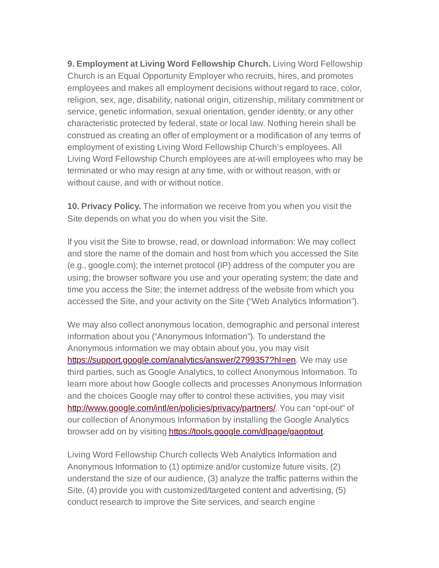**9. Employment at Living Word Fellowship Church.** Living Word Fellowship Church is an Equal Opportunity Employer who recruits, hires, and promotes employees and makes all employment decisions without regard to race, color, religion, sex, age, disability, national origin, citizenship, military commitment or service, genetic information, sexual orientation, gender identity, or any other characteristic protected by federal, state or local law. Nothing herein shall be construed as creating an offer of employment or a modification of any terms of employment of existing Living Word Fellowship Church's employees. All Living Word Fellowship Church employees are at-will employees who may be terminated or who may resign at any time, with or without reason, with or without cause, and with or without notice.

**10. Privacy Policy.** The information we receive from you when you visit the Site depends on what you do when you visit the Site.

If you visit the Site to browse, read, or download information: We may collect and store the name of the domain and host from which you accessed the Site (e.g., google.com); the internet protocol (IP) address of the computer you are using; the browser software you use and your operating system; the date and time you access the Site; the internet address of the website from which you accessed the Site, and your activity on the Site ("Web Analytics Information").

We may also collect anonymous location, demographic and personal interest information about you ("Anonymous Information"). To understand the Anonymous information we may obtain about you, you may visit <https://support.google.com/analytics/answer/2799357?hl=en>. We may use third parties, such as Google Analytics, to collect Anonymous Information. To learn more about how Google collects and processes Anonymous Information and the choices Google may offer to control these activities, you may visit <http://www.google.com/intl/en/policies/privacy/partners/>. You can "opt-out" of our collection of Anonymous Information by installing the Google Analytics browser add on by visiting <https://tools.google.com/dlpage/gaoptout>.

Living Word Fellowship Church collects Web Analytics Information and Anonymous Information to (1) optimize and/or customize future visits, (2) understand the size of our audience, (3) analyze the traffic patterns within the Site, (4) provide you with customized/targeted content and advertising, (5) conduct research to improve the Site services, and search engine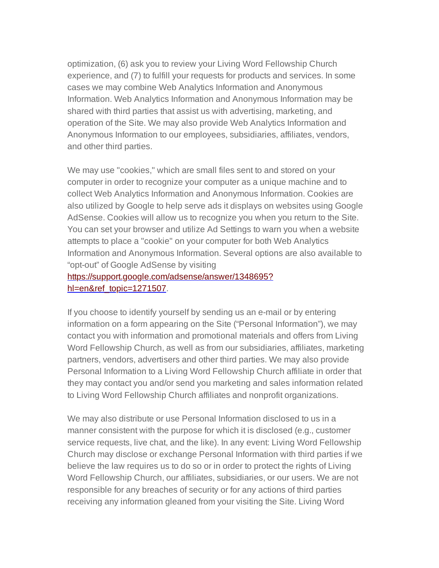optimization, (6) ask you to review your Living Word Fellowship Church experience, and (7) to fulfill your requests for products and services. In some cases we may combine Web Analytics Information and Anonymous Information. Web Analytics Information and Anonymous Information may be shared with third parties that assist us with advertising, marketing, and operation of the Site. We may also provide Web Analytics Information and Anonymous Information to our employees, subsidiaries, affiliates, vendors, and other third parties.

We may use "cookies," which are small files sent to and stored on your computer in order to recognize your computer as a unique machine and to collect Web Analytics Information and Anonymous Information. Cookies are also utilized by Google to help serve ads it displays on websites using Google AdSense. Cookies will allow us to recognize you when you return to the Site. You can set your browser and utilize Ad Settings to warn you when a website attempts to place a "cookie" on your computer for both Web Analytics Information and Anonymous Information. Several options are also available to "opt-out" of Google AdSense by visiting

## [https://support.google.com/adsense/answer/1348695?](https://support.google.com/adsense/answer/1348695?hl=en&ref_topic=1271507) hl=en&ref\_topic=1271507.

If you choose to identify yourself by sending us an e-mail or by entering information on a form appearing on the Site ("Personal Information"), we may contact you with information and promotional materials and offers from Living Word Fellowship Church, as well as from our subsidiaries, affiliates, marketing partners, vendors, advertisers and other third parties. We may also provide Personal Information to a Living Word Fellowship Church affiliate in order that they may contact you and/or send you marketing and sales information related to Living Word Fellowship Church affiliates and nonprofit organizations.

We may also distribute or use Personal Information disclosed to us in a manner consistent with the purpose for which it is disclosed (e.g., customer service requests, live chat, and the like). In any event: Living Word Fellowship Church may disclose or exchange Personal Information with third parties if we believe the law requires us to do so or in order to protect the rights of Living Word Fellowship Church, our affiliates, subsidiaries, or our users. We are not responsible for any breaches of security or for any actions of third parties receiving any information gleaned from your visiting the Site. Living Word